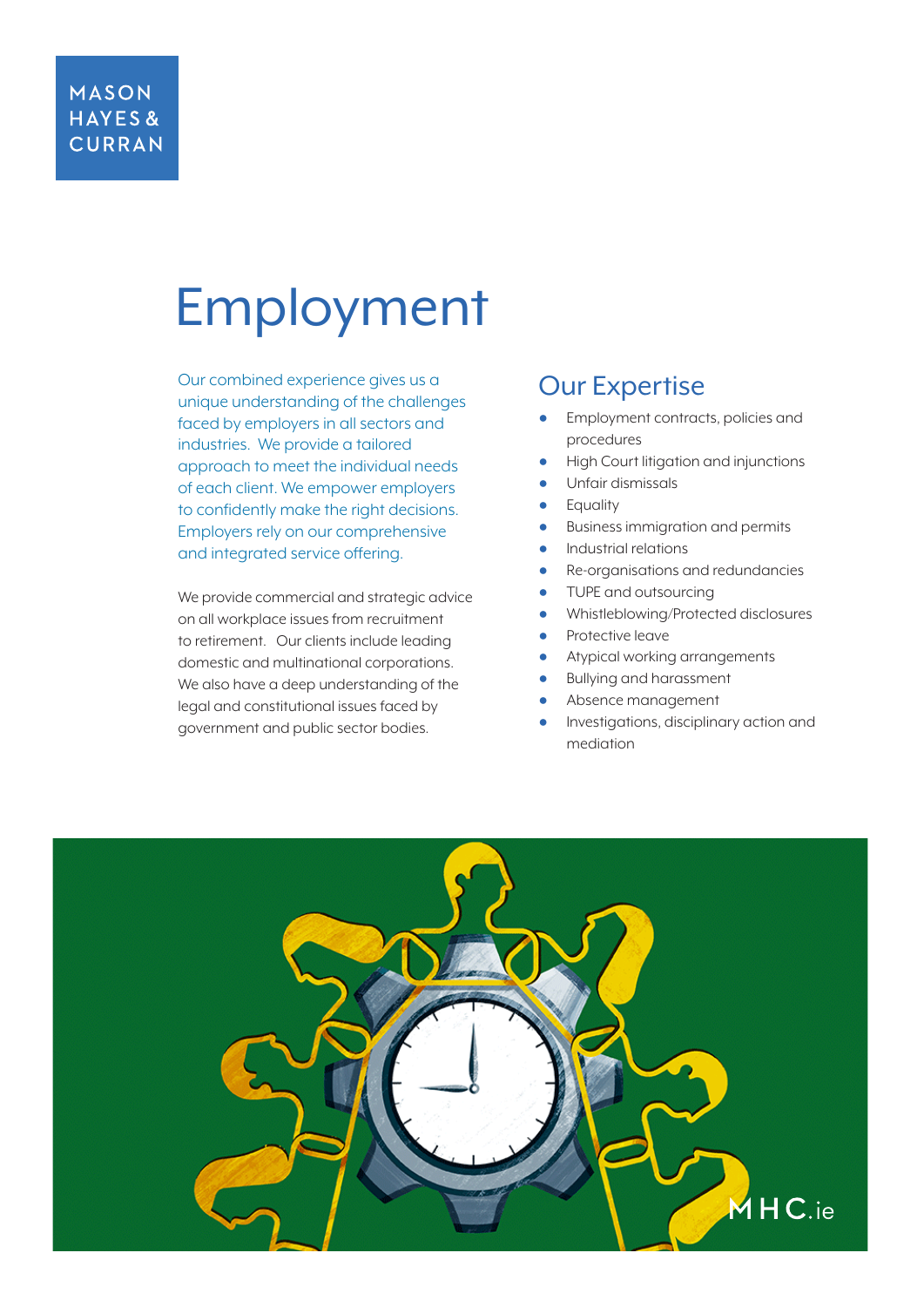#### **MASON** HAYES& **CURRAN**

# Employment

Our combined experience gives us a unique understanding of the challenges faced by employers in all sectors and industries. We provide a tailored approach to meet the individual needs of each client. We empower employers to confidently make the right decisions. Employers rely on our comprehensive and integrated service offering.

We provide commercial and strategic advice on all workplace issues from recruitment to retirement. Our clients include leading domestic and multinational corporations. We also have a deep understanding of the legal and constitutional issues faced by government and public sector bodies.

### Our Expertise

- Employment contracts, policies and procedures
- **High Court litigation and injunctions**
- Unfair dismissals
- **Equality**
- Business immigration and permits
- Industrial relations
- Re-organisations and redundancies
- TUPE and outsourcing
- Whistleblowing/Protected disclosures
- Protective leave
- Atypical working arrangements
- **Bullying and harassment**
- Absence management
- Investigations, disciplinary action and mediation